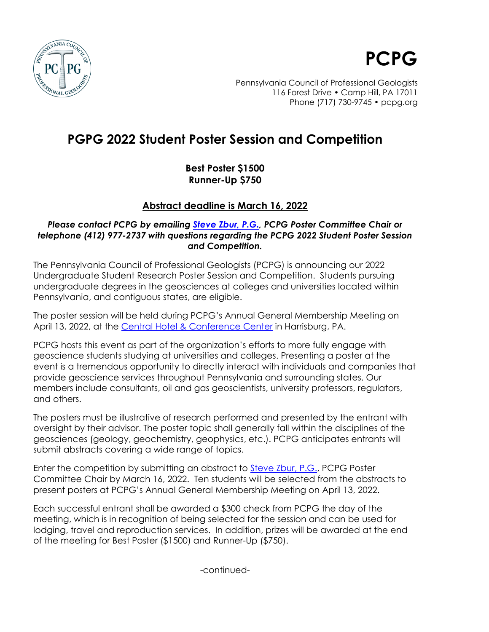

**PCPG**

## **PGPG 2022 Student Poster Session and Competition**

**Best Poster \$1500 Runner-Up \$750**

## **Abstract deadline is March 16, 2022**

## *Please contact PCPG by emailing [Steve Zbur, P.G.,](mailto:szbur@core-env.com) PCPG Poster Committee Chair or telephone (412) 977-2737 with questions regarding the PCPG 2022 Student Poster Session and Competition.*

The Pennsylvania Council of Professional Geologists (PCPG) is announcing our 2022 Undergraduate Student Research Poster Session and Competition. Students pursuing undergraduate degrees in the geosciences at colleges and universities located within Pennsylvania, and contiguous states, are eligible.

The poster session will be held during PCPG's Annual General Membership Meeting on April 13, 2022, at the [Central Hotel & Conference Center](https://thecentralhotelharrisburg.com/) in Harrisburg, PA.

PCPG hosts this event as part of the organization's efforts to more fully engage with geoscience students studying at universities and colleges. Presenting a poster at the event is a tremendous opportunity to directly interact with individuals and companies that provide geoscience services throughout Pennsylvania and surrounding states. Our members include consultants, oil and gas geoscientists, university professors, regulators, and others.

The posters must be illustrative of research performed and presented by the entrant with oversight by their advisor. The poster topic shall generally fall within the disciplines of the geosciences (geology, geochemistry, geophysics, etc.). PCPG anticipates entrants will submit abstracts covering a wide range of topics.

Enter the competition by submitting an abstract to **Steve Zbur, P.G.**, PCPG Poster Committee Chair by March 16, 2022. Ten students will be selected from the abstracts to present posters at PCPG's Annual General Membership Meeting on April 13, 2022.

Each successful entrant shall be awarded a \$300 check from PCPG the day of the meeting, which is in recognition of being selected for the session and can be used for lodging, travel and reproduction services. In addition, prizes will be awarded at the end of the meeting for Best Poster (\$1500) and Runner-Up (\$750).

-continued-